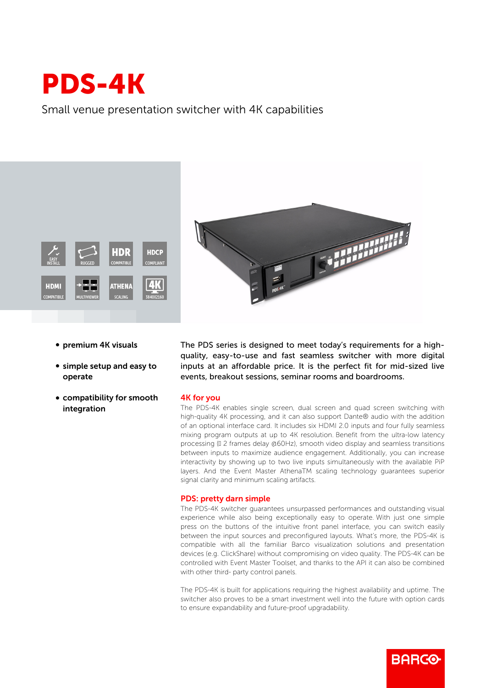## PDS-4K

Small venue presentation switcher with 4K capabilities





- premium 4K visuals
- simple setup and easy to operate
- compatibility for smooth integration

The PDS series is designed to meet today's requirements for a highquality, easy-to-use and fast seamless switcher with more digital inputs at an affordable price. It is the perfect fit for mid-sized live events, breakout sessions, seminar rooms and boardrooms.

## 4K for you

The PDS-4K enables single screen, dual screen and quad screen switching with high-quality 4K processing, and it can also support Dante® audio with the addition of an optional interface card. It includes six HDMI 2.0 inputs and four fully seamless mixing program outputs at up to 4K resolution. Benefit from the ultra-low latency processing (II 2 frames delay @60Hz), smooth video display and seamless transitions between inputs to maximize audience engagement. Additionally, you can increase interactivity by showing up to two live inputs simultaneously with the available PiP layers. And the Event Master AthenaTM scaling technology guarantees superior signal clarity and minimum scaling artifacts.

## PDS: pretty darn simple

The PDS-4K switcher guarantees unsurpassed performances and outstanding visual experience while also being exceptionally easy to operate. With just one simple press on the buttons of the intuitive front panel interface, you can switch easily between the input sources and preconfigured layouts. What's more, the PDS-4K is compatible with all the familiar Barco visualization solutions and presentation devices (e.g. ClickShare) without compromising on video quality. The PDS-4K can be controlled with Event Master Toolset, and thanks to the API it can also be combined with other third- party control panels.

The PDS-4K is built for applications requiring the highest availability and uptime. The switcher also proves to be a smart investment well into the future with option cards to ensure expandability and future-proof upgradability.